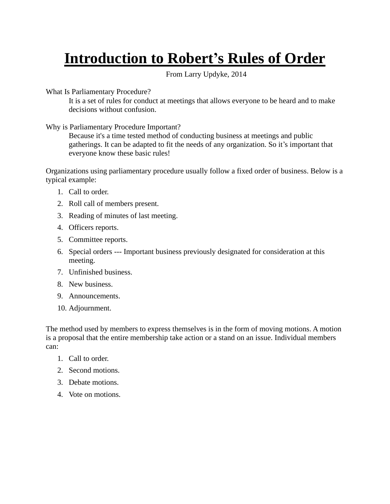## **Introduction to Robert's Rules of Order**

From Larry Updyke, 2014

What Is Parliamentary Procedure?

It is a set of rules for conduct at meetings that allows everyone to be heard and to make decisions without confusion.

Why is Parliamentary Procedure Important?

Because it's a time tested method of conducting business at meetings and public gatherings. It can be adapted to fit the needs of any organization. So it's important that everyone know these basic rules!

Organizations using parliamentary procedure usually follow a fixed order of business. Below is a typical example:

- 1. Call to order.
- 2. Roll call of members present.
- 3. Reading of minutes of last meeting.
- 4. Officers reports.
- 5. Committee reports.
- 6. Special orders --- Important business previously designated for consideration at this meeting.
- 7. Unfinished business.
- 8. New business.
- 9. Announcements.
- 10. Adjournment.

The method used by members to express themselves is in the form of moving motions. A motion is a proposal that the entire membership take action or a stand on an issue. Individual members can:

- 1. Call to order.
- 2. Second motions.
- 3. Debate motions.
- 4. Vote on motions.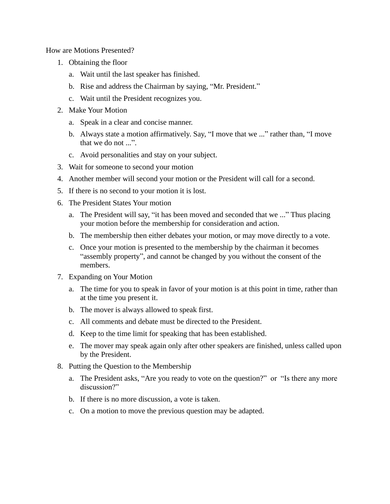How are Motions Presented?

- 1. Obtaining the floor
	- a. Wait until the last speaker has finished.
	- b. Rise and address the Chairman by saying, "Mr. President."
	- c. Wait until the President recognizes you.
- 2. Make Your Motion
	- a. Speak in a clear and concise manner.
	- b. Always state a motion affirmatively. Say, "I move that we ..." rather than, "I move that we do not ...".
	- c. Avoid personalities and stay on your subject.
- 3. Wait for someone to second your motion
- 4. Another member will second your motion or the President will call for a second.
- 5. If there is no second to your motion it is lost.
- 6. The President States Your motion
	- a. The President will say, "it has been moved and seconded that we ..." Thus placing your motion before the membership for consideration and action.
	- b. The membership then either debates your motion, or may move directly to a vote.
	- c. Once your motion is presented to the membership by the chairman it becomes "assembly property", and cannot be changed by you without the consent of the members.
- 7. Expanding on Your Motion
	- a. The time for you to speak in favor of your motion is at this point in time, rather than at the time you present it.
	- b. The mover is always allowed to speak first.
	- c. All comments and debate must be directed to the President.
	- d. Keep to the time limit for speaking that has been established.
	- e. The mover may speak again only after other speakers are finished, unless called upon by the President.
- 8. Putting the Question to the Membership
	- a. The President asks, "Are you ready to vote on the question?" or "Is there any more discussion?"
	- b. If there is no more discussion, a vote is taken.
	- c. On a motion to move the previous question may be adapted.